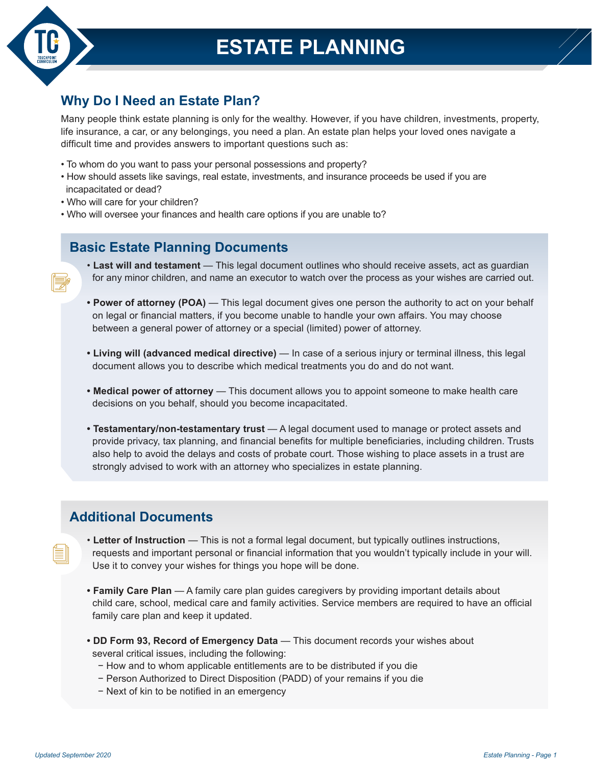

# **ESTATE PLANNING**

## **Why Do I Need an Estate Plan?**

Many people think estate planning is only for the wealthy. However, if you have children, investments, property, life insurance, a car, or any belongings, you need a plan. An estate plan helps your loved ones navigate a difficult time and provides answers to important questions such as:

- To whom do you want to pass your personal possessions and property?
- How should assets like savings, real estate, investments, and insurance proceeds be used if you are incapacitated or dead?
- Who will care for your children?
- Who will oversee your finances and health care options if you are unable to?

#### **Basic Estate Planning Documents**

- **Last will and testament** This legal document outlines who should receive assets, act as guardian for any minor children, and name an executor to watch over the process as your wishes are carried out.
- **Power of attorney (POA)** This legal document gives one person the authority to act on your behalf on legal or financial matters, if you become unable to handle your own affairs. You may choose between a general power of attorney or a special (limited) power of attorney.
- **Living will (advanced medical directive)** In case of a serious injury or terminal illness, this legal document allows you to describe which medical treatments you do and do not want.
- **Medical power of attorney** This document allows you to appoint someone to make health care decisions on you behalf, should you become incapacitated.
- **Testamentary/non-testamentary trust** A legal document used to manage or protect assets and provide privacy, tax planning, and financial benefits for multiple beneficiaries, including children. Trusts also help to avoid the delays and costs of probate court. Those wishing to place assets in a trust are strongly advised to work with an attorney who specializes in estate planning.

#### **Additional Documents**

- **Letter of Instruction** This is not a formal legal document, but typically outlines instructions, requests and important personal or financial information that you wouldn't typically include in your will. Use it to convey your wishes for things you hope will be done.
- **Family Care Plan** A family care plan guides caregivers by providing important details about child care, school, medical care and family activities. Service members are required to have an official family care plan and keep it updated.
- **DD Form 93, Record of Emergency Data** This document records your wishes about several critical issues, including the following:
	- − How and to whom applicable entitlements are to be distributed if you die
	- − Person Authorized to Direct Disposition (PADD) of your remains if you die
	- − Next of kin to be notified in an emergency